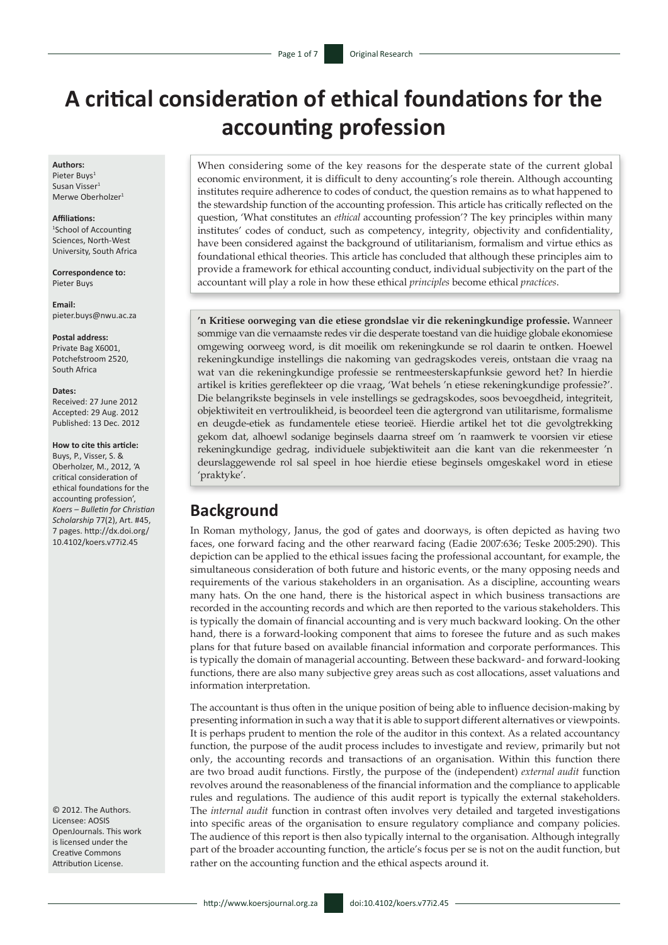# **A critical consideration of ethical foundations for the accounting profession**

#### **Authors:**

Pieter Buys1 Susan Visser<sup>1</sup> Merwe Oberholzer<sup>1</sup>

#### **Affiliations:**

1 School of Accounting Sciences, North-West University, South Africa

**Correspondence to:** Pieter Buys

**Email:** [pieter.buys@nwu.ac.za](mailto:pieter.buys@nwu.ac.za)

**Postal address:**

Private Bag X6001, Potchefstroom 2520, South Africa

#### **Dates:**

Received: 27 June 2012 Accepted: 29 Aug. 2012 Published: 13 Dec. 2012

#### **How to cite this article:**

Buys, P., Visser, S. & Oberholzer, M., 2012, 'A critical consideration of ethical foundations for the accounting profession', *Koers – Bulletin for Christian Scholarship* 77(2), Art. #45, 7 pages. [http://dx.doi.org/](http://dx.doi.org/ 10.4102/koers.v77i2.45)  [10.4102/koers.v77i2.45](http://dx.doi.org/ 10.4102/koers.v77i2.45)

© 2012. The Authors. Licensee: AOSIS OpenJournals. This work is licensed under the Creative Commons Attribution License.

When considering some of the key reasons for the desperate state of the current global economic environment, it is difficult to deny accounting's role therein. Although accounting institutes require adherence to codes of conduct, the question remains as to what happened to the stewardship function of the accounting profession. This article has critically reflected on the question, 'What constitutes an *ethical* accounting profession'? The key principles within many institutes' codes of conduct, such as competency, integrity, objectivity and confidentiality, have been considered against the background of utilitarianism, formalism and virtue ethics as foundational ethical theories. This article has concluded that although these principles aim to provide a framework for ethical accounting conduct, individual subjectivity on the part of the accountant will play a role in how these ethical *principles* become ethical *practices*.

**'n Kritiese oorweging van die etiese grondslae vir die rekeningkundige professie.** Wanneer sommige van die vernaamste redes vir die desperate toestand van die huidige globale ekonomiese omgewing oorweeg word, is dit moeilik om rekeningkunde se rol daarin te ontken. Hoewel rekeningkundige instellings die nakoming van gedragskodes vereis, ontstaan die vraag na wat van die rekeningkundige professie se rentmeesterskapfunksie geword het? In hierdie artikel is krities gereflekteer op die vraag, 'Wat behels 'n etiese rekeningkundige professie?'. Die belangrikste beginsels in vele instellings se gedragskodes, soos bevoegdheid, integriteit, objektiwiteit en vertroulikheid, is beoordeel teen die agtergrond van utilitarisme, formalisme en deugde-etiek as fundamentele etiese teorieë. Hierdie artikel het tot die gevolgtrekking gekom dat, alhoewl sodanige beginsels daarna streef om 'n raamwerk te voorsien vir etiese rekeningkundige gedrag, individuele subjektiwiteit aan die kant van die rekenmeester 'n deurslaggewende rol sal speel in hoe hierdie etiese beginsels omgeskakel word in etiese 'praktyke'.

# **Background**

In Roman mythology, Janus, the god of gates and doorways, is often depicted as having two faces, one forward facing and the other rearward facing (Eadie 2007:636; Teske 2005:290). This depiction can be applied to the ethical issues facing the professional accountant, for example, the simultaneous consideration of both future and historic events, or the many opposing needs and requirements of the various stakeholders in an organisation. As a discipline, accounting wears many hats. On the one hand, there is the historical aspect in which business transactions are recorded in the accounting records and which are then reported to the various stakeholders. This is typically the domain of financial accounting and is very much backward looking. On the other hand, there is a forward-looking component that aims to foresee the future and as such makes plans for that future based on available financial information and corporate performances. This is typically the domain of managerial accounting. Between these backward- and forward-looking functions, there are also many subjective grey areas such as cost allocations, asset valuations and information interpretation.

The accountant is thus often in the unique position of being able to influence decision-making by presenting information in such a way that it is able to support different alternatives or viewpoints. It is perhaps prudent to mention the role of the auditor in this context. As a related accountancy function, the purpose of the audit process includes to investigate and review, primarily but not only, the accounting records and transactions of an organisation. Within this function there are two broad audit functions. Firstly, the purpose of the (independent) *external audit* function revolves around the reasonableness of the financial information and the compliance to applicable rules and regulations. The audience of this audit report is typically the external stakeholders. The *internal audit* function in contrast often involves very detailed and targeted investigations into specific areas of the organisation to ensure regulatory compliance and company policies. The audience of this report is then also typically internal to the organisation. Although integrally part of the broader accounting function, the article's focus per se is not on the audit function, but rather on the accounting function and the ethical aspects around it.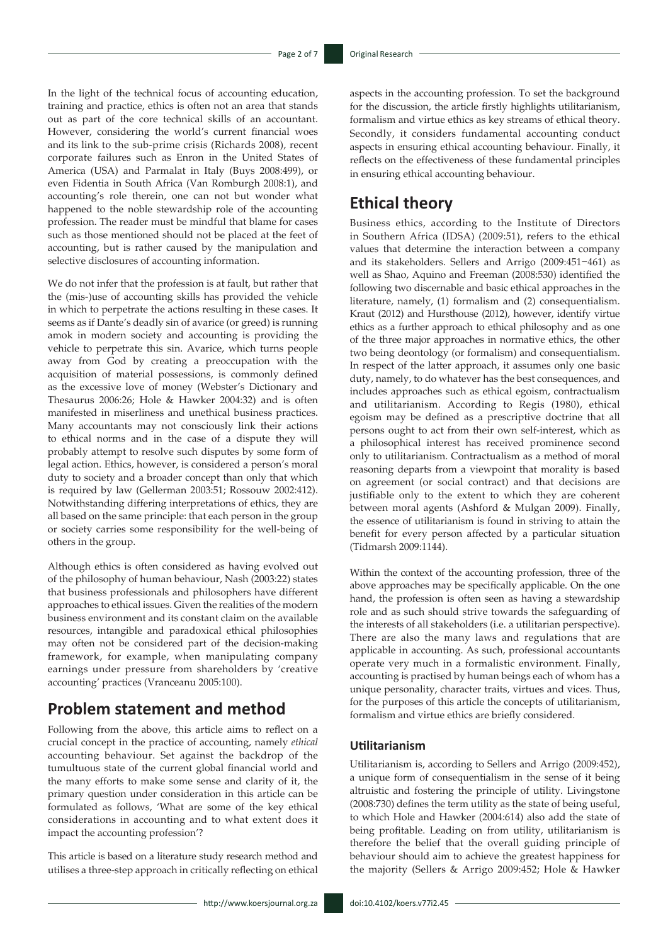In the light of the technical focus of accounting education, training and practice, ethics is often not an area that stands out as part of the core technical skills of an accountant. However, considering the world's current financial woes and its link to the sub-prime crisis (Richards 2008), recent corporate failures such as Enron in the United States of America (USA) and Parmalat in Italy (Buys 2008:499), or even Fidentia in South Africa (Van Romburgh 2008:1), and accounting's role therein, one can not but wonder what happened to the noble stewardship role of the accounting profession. The reader must be mindful that blame for cases such as those mentioned should not be placed at the feet of accounting, but is rather caused by the manipulation and selective disclosures of accounting information.

We do not infer that the profession is at fault, but rather that the (mis-)use of accounting skills has provided the vehicle in which to perpetrate the actions resulting in these cases. It seems as if Dante's deadly sin of avarice (or greed) is running amok in modern society and accounting is providing the vehicle to perpetrate this sin. Avarice, which turns people away from God by creating a preoccupation with the acquisition of material possessions, is commonly defined as the excessive love of money (Webster's Dictionary and Thesaurus 2006:26; Hole & Hawker 2004:32) and is often manifested in miserliness and unethical business practices. Many accountants may not consciously link their actions to ethical norms and in the case of a dispute they will probably attempt to resolve such disputes by some form of legal action. Ethics, however, is considered a person's moral duty to society and a broader concept than only that which is required by law (Gellerman 2003:51; Rossouw 2002:412). Notwithstanding differing interpretations of ethics, they are all based on the same principle: that each person in the group or society carries some responsibility for the well-being of others in the group.

Although ethics is often considered as having evolved out of the philosophy of human behaviour, Nash (2003:22) states that business professionals and philosophers have different approaches to ethical issues. Given the realities of the modern business environment and its constant claim on the available resources, intangible and paradoxical ethical philosophies may often not be considered part of the decision-making framework, for example, when manipulating company earnings under pressure from shareholders by 'creative accounting' practices (Vranceanu 2005:100).

# **Problem statement and method**

Following from the above, this article aims to reflect on a crucial concept in the practice of accounting, namely *ethical* accounting behaviour. Set against the backdrop of the tumultuous state of the current global financial world and the many efforts to make some sense and clarity of it, the primary question under consideration in this article can be formulated as follows, 'What are some of the key ethical considerations in accounting and to what extent does it impact the accounting profession'?

This article is based on a literature study research method and utilises a three-step approach in critically reflecting on ethical

aspects in the accounting profession. To set the background for the discussion, the article firstly highlights utilitarianism, formalism and virtue ethics as key streams of ethical theory. Secondly, it considers fundamental accounting conduct aspects in ensuring ethical accounting behaviour. Finally, it reflects on the effectiveness of these fundamental principles in ensuring ethical accounting behaviour.

# **Ethical theory**

Business ethics, according to the Institute of Directors in Southern Africa (IDSA) (2009:51), refers to the ethical values that determine the interaction between a company and its stakeholders. Sellers and Arrigo (2009:451−461) as well as Shao, Aquino and Freeman (2008:530) identified the following two discernable and basic ethical approaches in the literature, namely, (1) formalism and (2) consequentialism. Kraut (2012) and Hursthouse (2012), however, identify virtue ethics as a further approach to ethical philosophy and as one of the three major approaches in normative ethics, the other two being deontology (or formalism) and consequentialism. In respect of the latter approach, it assumes only one basic duty, namely, to do whatever has the best consequences, and includes approaches such as ethical egoism, contractualism and utilitarianism. According to Regis (1980), ethical egoism may be defined as a prescriptive doctrine that all persons ought to act from their own self-interest, which as a philosophical interest has received prominence second only to utilitarianism. Contractualism as a method of moral reasoning departs from a viewpoint that morality is based on agreement (or social contract) and that decisions are justifiable only to the extent to which they are coherent between moral agents (Ashford & Mulgan 2009). Finally, the essence of utilitarianism is found in striving to attain the benefit for every person affected by a particular situation (Tidmarsh 2009:1144).

Within the context of the accounting profession, three of the above approaches may be specifically applicable. On the one hand, the profession is often seen as having a stewardship role and as such should strive towards the safeguarding of the interests of all stakeholders (i.e. a utilitarian perspective). There are also the many laws and regulations that are applicable in accounting. As such, professional accountants operate very much in a formalistic environment. Finally, accounting is practised by human beings each of whom has a unique personality, character traits, virtues and vices. Thus, for the purposes of this article the concepts of utilitarianism, formalism and virtue ethics are briefly considered.

### **Utilitarianism**

Utilitarianism is, according to Sellers and Arrigo (2009:452), a unique form of consequentialism in the sense of it being altruistic and fostering the principle of utility. Livingstone (2008:730) defines the term utility as the state of being useful, to which Hole and Hawker (2004:614) also add the state of being profitable. Leading on from utility, utilitarianism is therefore the belief that the overall guiding principle of behaviour should aim to achieve the greatest happiness for the majority (Sellers & Arrigo 2009:452; Hole & Hawker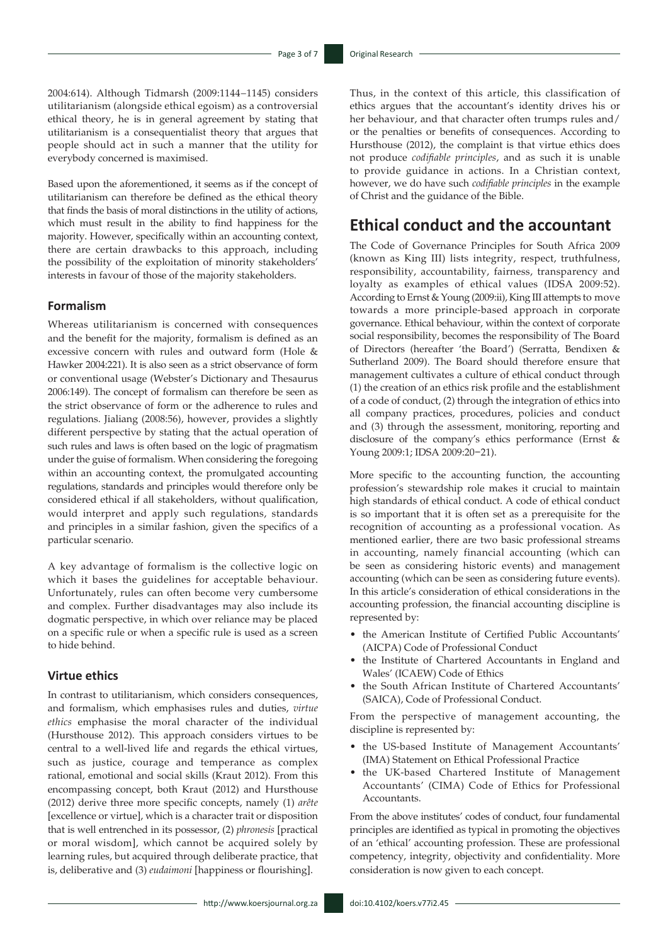2004:614). Although Tidmarsh (2009:1144−1145) considers utilitarianism (alongside ethical egoism) as a controversial ethical theory, he is in general agreement by stating that utilitarianism is a consequentialist theory that argues that people should act in such a manner that the utility for everybody concerned is maximised.

Based upon the aforementioned, it seems as if the concept of utilitarianism can therefore be defined as the ethical theory that finds the basis of moral distinctions in the utility of actions, which must result in the ability to find happiness for the majority. However, specifically within an accounting context, there are certain drawbacks to this approach, including the possibility of the exploitation of minority stakeholders' interests in favour of those of the majority stakeholders.

### **Formalism**

Whereas utilitarianism is concerned with consequences and the benefit for the majority, formalism is defined as an excessive concern with rules and outward form (Hole & Hawker 2004:221). It is also seen as a strict observance of form or conventional usage (Webster's Dictionary and Thesaurus 2006:149). The concept of formalism can therefore be seen as the strict observance of form or the adherence to rules and regulations. Jialiang (2008:56), however, provides a slightly different perspective by stating that the actual operation of such rules and laws is often based on the logic of pragmatism under the guise of formalism. When considering the foregoing within an accounting context, the promulgated accounting regulations, standards and principles would therefore only be considered ethical if all stakeholders, without qualification, would interpret and apply such regulations, standards and principles in a similar fashion, given the specifics of a particular scenario.

A key advantage of formalism is the collective logic on which it bases the guidelines for acceptable behaviour. Unfortunately, rules can often become very cumbersome and complex. Further disadvantages may also include its dogmatic perspective, in which over reliance may be placed on a specific rule or when a specific rule is used as a screen to hide behind.

### **Virtue ethics**

In contrast to utilitarianism, which considers consequences, and formalism, which emphasises rules and duties, *virtue ethics* emphasise the moral character of the individual (Hursthouse 2012). This approach considers virtues to be central to a well-lived life and regards the ethical virtues, such as justice, courage and temperance as complex rational, emotional and social skills (Kraut 2012). From this encompassing concept, both Kraut (2012) and Hursthouse (2012) derive three more specific concepts, namely (1) *arête* [excellence or virtue], which is a character trait or disposition that is well entrenched in its possessor, (2) *phronesis* [practical or moral wisdom], which cannot be acquired solely by learning rules, but acquired through deliberate practice, that is, deliberative and (3) *eudaimoni* [happiness or flourishing].

Thus, in the context of this article, this classification of ethics argues that the accountant's identity drives his or her behaviour, and that character often trumps rules and/ or the penalties or benefits of consequences. According to Hursthouse (2012), the complaint is that virtue ethics does not produce *codifiable principles*, and as such it is unable to provide guidance in actions. In a Christian context, however, we do have such *codifiable principles* in the example of Christ and the guidance of the Bible.

## **Ethical conduct and the accountant**

The Code of Governance Principles for South Africa 2009 (known as King III) lists integrity, respect, truthfulness, responsibility, accountability, fairness, transparency and loyalty as examples of ethical values (IDSA 2009:52). According to Ernst & Young (2009:ii), King III attempts to move towards a more principle-based approach in corporate governance. Ethical behaviour, within the context of corporate social responsibility, becomes the responsibility of The Board of Directors (hereafter 'the Board') (Serratta, Bendixen & Sutherland 2009). The Board should therefore ensure that management cultivates a culture of ethical conduct through (1) the creation of an ethics risk profile and the establishment of a code of conduct, (2) through the integration of ethics into all company practices, procedures, policies and conduct and (3) through the assessment, monitoring, reporting and disclosure of the company's ethics performance (Ernst & Young 2009:1; IDSA 2009:20−21).

More specific to the accounting function, the accounting profession's stewardship role makes it crucial to maintain high standards of ethical conduct. A code of ethical conduct is so important that it is often set as a prerequisite for the recognition of accounting as a professional vocation. As mentioned earlier, there are two basic professional streams in accounting, namely financial accounting (which can be seen as considering historic events) and management accounting (which can be seen as considering future events). In this article's consideration of ethical considerations in the accounting profession, the financial accounting discipline is represented by:

- the American Institute of Certified Public Accountants' (AICPA) Code of Professional Conduct
- the Institute of Chartered Accountants in England and Wales' (ICAEW) Code of Ethics
- the South African Institute of Chartered Accountants' (SAICA), Code of Professional Conduct.

From the perspective of management accounting, the discipline is represented by:

- the US-based Institute of Management Accountants' (IMA) Statement on Ethical Professional Practice
- the UK-based Chartered Institute of Management Accountants' (CIMA) Code of Ethics for Professional Accountants.

From the above institutes' codes of conduct, four fundamental principles are identified as typical in promoting the objectives of an 'ethical' accounting profession. These are professional competency, integrity, objectivity and confidentiality. More consideration is now given to each concept.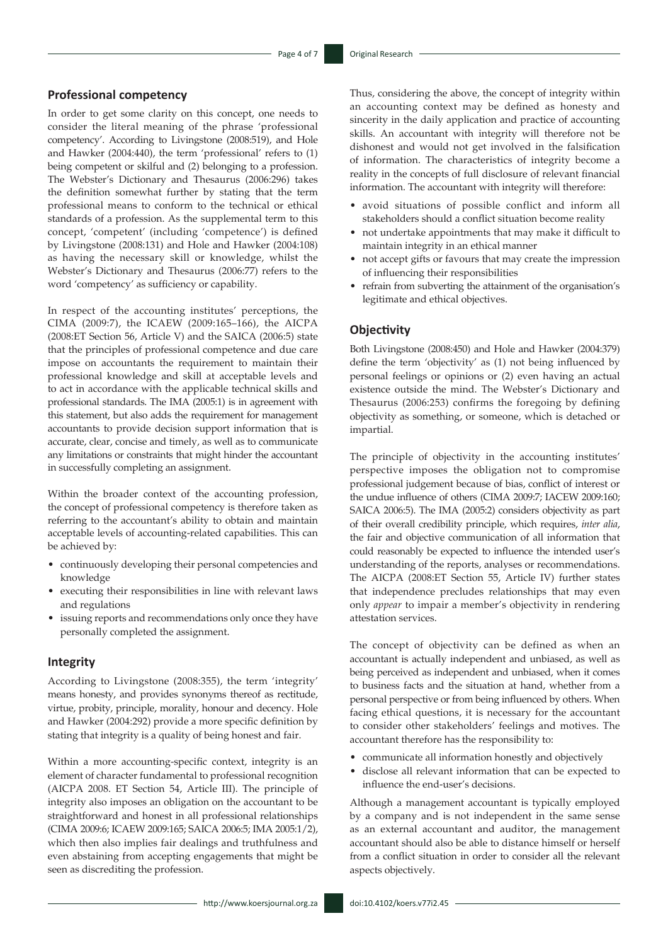### **Professional competency**

In order to get some clarity on this concept, one needs to consider the literal meaning of the phrase 'professional competency'. According to Livingstone (2008:519), and Hole and Hawker (2004:440), the term 'professional' refers to (1) being competent or skilful and (2) belonging to a profession. The Webster's Dictionary and Thesaurus (2006:296) takes the definition somewhat further by stating that the term professional means to conform to the technical or ethical standards of a profession. As the supplemental term to this concept, 'competent' (including 'competence') is defined by Livingstone (2008:131) and Hole and Hawker (2004:108) as having the necessary skill or knowledge, whilst the Webster's Dictionary and Thesaurus (2006:77) refers to the word 'competency' as sufficiency or capability.

In respect of the accounting institutes' perceptions, the CIMA (2009:7), the ICAEW (2009:165–166), the AICPA (2008:ET Section 56, Article V) and the SAICA (2006:5) state that the principles of professional competence and due care impose on accountants the requirement to maintain their professional knowledge and skill at acceptable levels and to act in accordance with the applicable technical skills and professional standards. The IMA (2005:1) is in agreement with this statement, but also adds the requirement for management accountants to provide decision support information that is accurate, clear, concise and timely, as well as to communicate any limitations or constraints that might hinder the accountant in successfully completing an assignment.

Within the broader context of the accounting profession, the concept of professional competency is therefore taken as referring to the accountant's ability to obtain and maintain acceptable levels of accounting-related capabilities. This can be achieved by:

- continuously developing their personal competencies and knowledge
- executing their responsibilities in line with relevant laws and regulations
- issuing reports and recommendations only once they have personally completed the assignment.

#### **Integrity**

According to Livingstone (2008:355), the term 'integrity' means honesty, and provides synonyms thereof as rectitude, virtue, probity, principle, morality, honour and decency. Hole and Hawker (2004:292) provide a more specific definition by stating that integrity is a quality of being honest and fair.

Within a more accounting-specific context, integrity is an element of character fundamental to professional recognition (AICPA 2008. ET Section 54, Article III). The principle of integrity also imposes an obligation on the accountant to be straightforward and honest in all professional relationships (CIMA 2009:6; ICAEW 2009:165; SAICA 2006:5; IMA 2005:1/2), which then also implies fair dealings and truthfulness and even abstaining from accepting engagements that might be seen as discrediting the profession.

Thus, considering the above, the concept of integrity within an accounting context may be defined as honesty and sincerity in the daily application and practice of accounting skills. An accountant with integrity will therefore not be dishonest and would not get involved in the falsification of information. The characteristics of integrity become a reality in the concepts of full disclosure of relevant financial information. The accountant with integrity will therefore:

- avoid situations of possible conflict and inform all stakeholders should a conflict situation become reality
- not undertake appointments that may make it difficult to maintain integrity in an ethical manner
- not accept gifts or favours that may create the impression of influencing their responsibilities
- refrain from subverting the attainment of the organisation's legitimate and ethical objectives.

#### **Objectivity**

Both Livingstone (2008:450) and Hole and Hawker (2004:379) define the term 'objectivity' as (1) not being influenced by personal feelings or opinions or (2) even having an actual existence outside the mind. The Webster's Dictionary and Thesaurus (2006:253) confirms the foregoing by defining objectivity as something, or someone, which is detached or impartial.

The principle of objectivity in the accounting institutes' perspective imposes the obligation not to compromise professional judgement because of bias, conflict of interest or the undue influence of others (CIMA 2009:7; IACEW 2009:160; SAICA 2006:5). The IMA (2005:2) considers objectivity as part of their overall credibility principle, which requires, *inter alia*, the fair and objective communication of all information that could reasonably be expected to influence the intended user's understanding of the reports, analyses or recommendations. The AICPA (2008:ET Section 55, Article IV) further states that independence precludes relationships that may even only *appear* to impair a member's objectivity in rendering attestation services.

The concept of objectivity can be defined as when an accountant is actually independent and unbiased, as well as being perceived as independent and unbiased, when it comes to business facts and the situation at hand, whether from a personal perspective or from being influenced by others. When facing ethical questions, it is necessary for the accountant to consider other stakeholders' feelings and motives. The accountant therefore has the responsibility to:

- communicate all information honestly and objectively
- disclose all relevant information that can be expected to influence the end-user's decisions.

Although a management accountant is typically employed by a company and is not independent in the same sense as an external accountant and auditor, the management accountant should also be able to distance himself or herself from a conflict situation in order to consider all the relevant aspects objectively.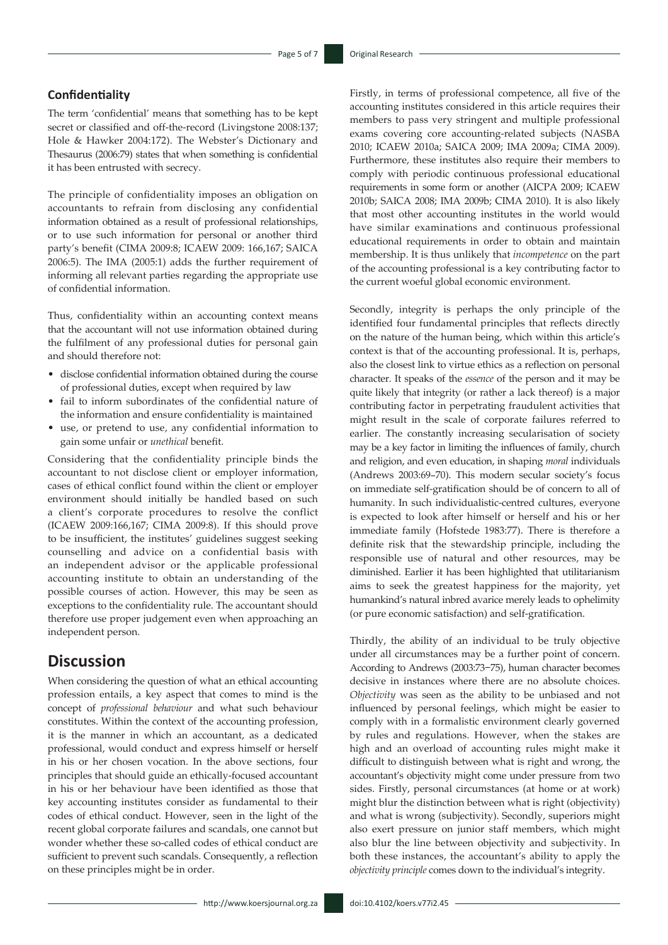### **Confidentiality**

The term 'confidential' means that something has to be kept secret or classified and off-the-record (Livingstone 2008:137; Hole & Hawker 2004:172). The Webster's Dictionary and Thesaurus (2006:79) states that when something is confidential it has been entrusted with secrecy.

The principle of confidentiality imposes an obligation on accountants to refrain from disclosing any confidential information obtained as a result of professional relationships, or to use such information for personal or another third party's benefit (CIMA 2009:8; ICAEW 2009: 166,167; SAICA 2006:5). The IMA (2005:1) adds the further requirement of informing all relevant parties regarding the appropriate use of confidential information.

Thus, confidentiality within an accounting context means that the accountant will not use information obtained during the fulfilment of any professional duties for personal gain and should therefore not:

- disclose confidential information obtained during the course of professional duties, except when required by law
- fail to inform subordinates of the confidential nature of the information and ensure confidentiality is maintained
- use, or pretend to use, any confidential information to gain some unfair or *unethical* benefit.

Considering that the confidentiality principle binds the accountant to not disclose client or employer information, cases of ethical conflict found within the client or employer environment should initially be handled based on such a client's corporate procedures to resolve the conflict (ICAEW 2009:166,167; CIMA 2009:8). If this should prove to be insufficient, the institutes' guidelines suggest seeking counselling and advice on a confidential basis with an independent advisor or the applicable professional accounting institute to obtain an understanding of the possible courses of action. However, this may be seen as exceptions to the confidentiality rule. The accountant should therefore use proper judgement even when approaching an independent person.

# **Discussion**

When considering the question of what an ethical accounting profession entails, a key aspect that comes to mind is the concept of *professional behaviour* and what such behaviour constitutes. Within the context of the accounting profession, it is the manner in which an accountant, as a dedicated professional, would conduct and express himself or herself in his or her chosen vocation. In the above sections, four principles that should guide an ethically-focused accountant in his or her behaviour have been identified as those that key accounting institutes consider as fundamental to their codes of ethical conduct. However, seen in the light of the recent global corporate failures and scandals, one cannot but wonder whether these so-called codes of ethical conduct are sufficient to prevent such scandals. Consequently, a reflection on these principles might be in order.

Firstly, in terms of professional competence, all five of the accounting institutes considered in this article requires their members to pass very stringent and multiple professional exams covering core accounting-related subjects (NASBA 2010; ICAEW 2010a; SAICA 2009; IMA 2009a; CIMA 2009). Furthermore, these institutes also require their members to comply with periodic continuous professional educational requirements in some form or another (AICPA 2009; ICAEW 2010b; SAICA 2008; IMA 2009b; CIMA 2010). It is also likely that most other accounting institutes in the world would have similar examinations and continuous professional educational requirements in order to obtain and maintain membership. It is thus unlikely that *incompetence* on the part of the accounting professional is a key contributing factor to the current woeful global economic environment.

Secondly, integrity is perhaps the only principle of the identified four fundamental principles that reflects directly on the nature of the human being, which within this article's context is that of the accounting professional. It is, perhaps, also the closest link to virtue ethics as a reflection on personal character. It speaks of the *essence* of the person and it may be quite likely that integrity (or rather a lack thereof) is a major contributing factor in perpetrating fraudulent activities that might result in the scale of corporate failures referred to earlier. The constantly increasing secularisation of society may be a key factor in limiting the influences of family, church and religion, and even education, in shaping *moral* individuals (Andrews 2003:69–70). This modern secular society's focus on immediate self-gratification should be of concern to all of humanity. In such individualistic-centred cultures, everyone is expected to look after himself or herself and his or her immediate family (Hofstede 1983:77). There is therefore a definite risk that the stewardship principle, including the responsible use of natural and other resources, may be diminished. Earlier it has been highlighted that utilitarianism aims to seek the greatest happiness for the majority, yet humankind's natural inbred avarice merely leads to ophelimity (or pure economic satisfaction) and self-gratification.

Thirdly, the ability of an individual to be truly objective under all circumstances may be a further point of concern. According to Andrews (2003:73−75), human character becomes decisive in instances where there are no absolute choices. *Objectivity* was seen as the ability to be unbiased and not influenced by personal feelings, which might be easier to comply with in a formalistic environment clearly governed by rules and regulations. However, when the stakes are high and an overload of accounting rules might make it difficult to distinguish between what is right and wrong, the accountant's objectivity might come under pressure from two sides. Firstly, personal circumstances (at home or at work) might blur the distinction between what is right (objectivity) and what is wrong (subjectivity). Secondly, superiors might also exert pressure on junior staff members, which might also blur the line between objectivity and subjectivity. In both these instances, the accountant's ability to apply the *objectivity principle* comes down to the individual's integrity.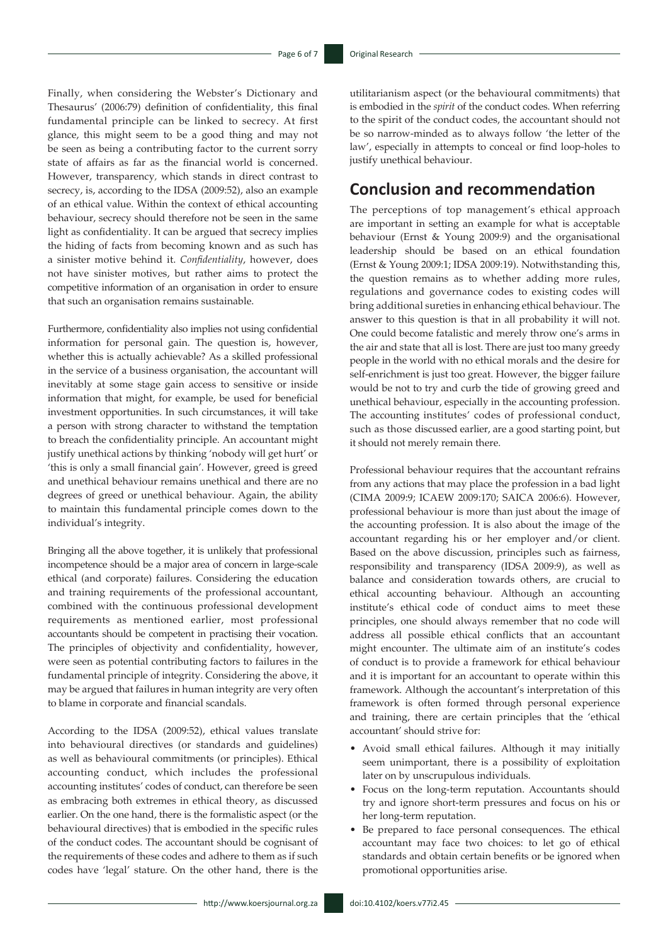Finally, when considering the Webster's Dictionary and Thesaurus' (2006:79) definition of confidentiality, this final fundamental principle can be linked to secrecy. At first glance, this might seem to be a good thing and may not be seen as being a contributing factor to the current sorry state of affairs as far as the financial world is concerned. However, transparency*,* which stands in direct contrast to secrecy, is, according to the IDSA (2009:52), also an example of an ethical value. Within the context of ethical accounting behaviour, secrecy should therefore not be seen in the same light as confidentiality. It can be argued that secrecy implies the hiding of facts from becoming known and as such has a sinister motive behind it. *Confidentiality*, however, does not have sinister motives, but rather aims to protect the competitive information of an organisation in order to ensure that such an organisation remains sustainable.

Furthermore, confidentiality also implies not using confidential information for personal gain. The question is, however, whether this is actually achievable? As a skilled professional in the service of a business organisation, the accountant will inevitably at some stage gain access to sensitive or inside information that might, for example, be used for beneficial investment opportunities. In such circumstances, it will take a person with strong character to withstand the temptation to breach the confidentiality principle. An accountant might justify unethical actions by thinking 'nobody will get hurt' or 'this is only a small financial gain'. However, greed is greed and unethical behaviour remains unethical and there are no degrees of greed or unethical behaviour. Again, the ability to maintain this fundamental principle comes down to the individual's integrity.

Bringing all the above together, it is unlikely that professional incompetence should be a major area of concern in large-scale ethical (and corporate) failures. Considering the education and training requirements of the professional accountant, combined with the continuous professional development requirements as mentioned earlier, most professional accountants should be competent in practising their vocation. The principles of objectivity and confidentiality, however, were seen as potential contributing factors to failures in the fundamental principle of integrity. Considering the above, it may be argued that failures in human integrity are very often to blame in corporate and financial scandals.

According to the IDSA (2009:52), ethical values translate into behavioural directives (or standards and guidelines) as well as behavioural commitments (or principles). Ethical accounting conduct, which includes the professional accounting institutes' codes of conduct, can therefore be seen as embracing both extremes in ethical theory, as discussed earlier. On the one hand, there is the formalistic aspect (or the behavioural directives) that is embodied in the specific rules of the conduct codes. The accountant should be cognisant of the requirements of these codes and adhere to them as if such codes have 'legal' stature. On the other hand, there is the

utilitarianism aspect (or the behavioural commitments) that is embodied in the *spirit* of the conduct codes. When referring to the spirit of the conduct codes, the accountant should not be so narrow-minded as to always follow 'the letter of the law', especially in attempts to conceal or find loop-holes to justify unethical behaviour.

# **Conclusion and recommendation**

The perceptions of top management's ethical approach are important in setting an example for what is acceptable behaviour (Ernst & Young 2009:9) and the organisational leadership should be based on an ethical foundation (Ernst & Young 2009:1; IDSA 2009:19). Notwithstanding this, the question remains as to whether adding more rules, regulations and governance codes to existing codes will bring additional sureties in enhancing ethical behaviour. The answer to this question is that in all probability it will not. One could become fatalistic and merely throw one's arms in the air and state that all is lost. There are just too many greedy people in the world with no ethical morals and the desire for self-enrichment is just too great. However, the bigger failure would be not to try and curb the tide of growing greed and unethical behaviour, especially in the accounting profession. The accounting institutes' codes of professional conduct, such as those discussed earlier, are a good starting point, but it should not merely remain there.

Professional behaviour requires that the accountant refrains from any actions that may place the profession in a bad light (CIMA 2009:9; ICAEW 2009:170; SAICA 2006:6). However, professional behaviour is more than just about the image of the accounting profession. It is also about the image of the accountant regarding his or her employer and/or client. Based on the above discussion, principles such as fairness, responsibility and transparency (IDSA 2009:9), as well as balance and consideration towards others, are crucial to ethical accounting behaviour. Although an accounting institute's ethical code of conduct aims to meet these principles, one should always remember that no code will address all possible ethical conflicts that an accountant might encounter. The ultimate aim of an institute's codes of conduct is to provide a framework for ethical behaviour and it is important for an accountant to operate within this framework. Although the accountant's interpretation of this framework is often formed through personal experience and training, there are certain principles that the 'ethical accountant' should strive for:

- Avoid small ethical failures. Although it may initially seem unimportant, there is a possibility of exploitation later on by unscrupulous individuals.
- Focus on the long-term reputation. Accountants should try and ignore short-term pressures and focus on his or her long-term reputation.
- Be prepared to face personal consequences. The ethical accountant may face two choices: to let go of ethical standards and obtain certain benefits or be ignored when promotional opportunities arise.